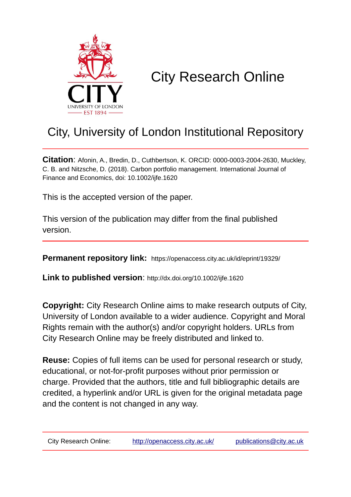

# City Research Online

# City, University of London Institutional Repository

**Citation**: Afonin, A., Bredin, D., Cuthbertson, K. ORCID: 0000-0003-2004-2630, Muckley, C. B. and Nitzsche, D. (2018). Carbon portfolio management. International Journal of Finance and Economics, doi: 10.1002/ijfe.1620

This is the accepted version of the paper.

This version of the publication may differ from the final published version.

**Permanent repository link:** https://openaccess.city.ac.uk/id/eprint/19329/

**Link to published version**: http://dx.doi.org/10.1002/ijfe.1620

**Copyright:** City Research Online aims to make research outputs of City, University of London available to a wider audience. Copyright and Moral Rights remain with the author(s) and/or copyright holders. URLs from City Research Online may be freely distributed and linked to.

**Reuse:** Copies of full items can be used for personal research or study, educational, or not-for-profit purposes without prior permission or charge. Provided that the authors, title and full bibliographic details are credited, a hyperlink and/or URL is given for the original metadata page and the content is not changed in any way.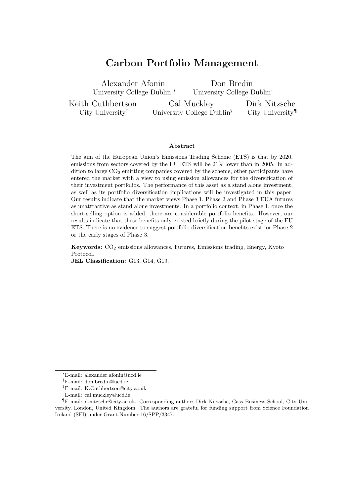# **Carbon Portfolio Management**

Alexander Afonin University College Dublin *<sup>∗</sup>* Don Bredin

Keith Cuthbertson City University*‡*

University College Dublin*†*

Cal Muckley University College Dublin*§* Dirk Nitzsche City University*¶*

#### **Abstract**

The aim of the European Union's Emissions Trading Scheme (ETS) is that by 2020, emissions from sectors covered by the EU ETS will be 21% lower than in 2005. In addition to large  $CO<sub>2</sub>$  emitting companies covered by the scheme, other participants have entered the market with a view to using emission allowances for the diversification of their investment portfolios. The performance of this asset as a stand alone investment, as well as its portfolio diversification implications will be investigated in this paper. Our results indicate that the market views Phase 1, Phase 2 and Phase 3 EUA futures as unattractive as stand alone investments. In a portfolio context, in Phase 1, once the short-selling option is added, there are considerable portfolio benefits. However, our results indicate that these benefits only existed briefly during the pilot stage of the EU ETS. There is no evidence to suggest portfolio diversification benefits exist for Phase 2 or the early stages of Phase 3.

**Keywords:** CO<sup>2</sup> emissions allowances, Futures, Emissions trading, Energy, Kyoto Protocol. **JEL Classification:** G13, G14, G19.

*<sup>∗</sup>*E-mail: alexander.afonin@ucd.ie

*<sup>†</sup>*E-mail: don.bredin@ucd.ie

*<sup>‡</sup>*E-mail: K.Cuthbertson@city.ac.uk

*<sup>§</sup>*E-mail: cal.muckley@ucd.ie

*<sup>¶</sup>*E-mail: d.nitzsche@city.ac.uk. Corresponding author: Dirk Nitzsche, Cass Business School, City University, London, United Kingdom. The authors are grateful for funding support from Science Foundation Ireland (SFI) under Grant Number 16/SPP/3347.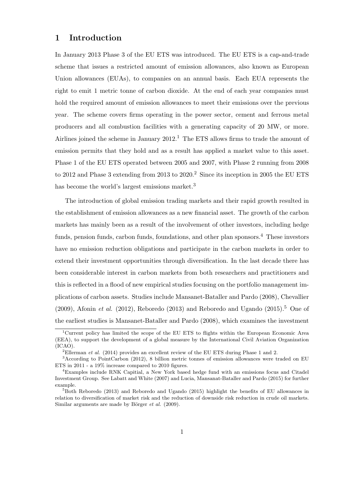### **1 Introduction**

In January 2013 Phase 3 of the EU ETS was introduced. The EU ETS is a cap-and-trade scheme that issues a restricted amount of emission allowances, also known as European Union allowances (EUAs), to companies on an annual basis. Each EUA represents the right to emit 1 metric tonne of carbon dioxide. At the end of each year companies must hold the required amount of emission allowances to meet their emissions over the previous year. The scheme covers firms operating in the power sector, cement and ferrous metal producers and all combustion facilities with a generating capacity of 20 MW, or more. Airlines joined the scheme in January  $2012<sup>1</sup>$ . The ETS allows firms to trade the amount of emission permits that they hold and as a result has applied a market value to this asset. Phase 1 of the EU ETS operated between 2005 and 2007, with Phase 2 running from 2008 to 2012 and Phase 3 extending from 2013 to  $2020$ .<sup>2</sup> Since its inception in 2005 the EU ETS has become the world's largest emissions market.<sup>3</sup>

The introduction of global emission trading markets and their rapid growth resulted in the establishment of emission allowances as a new financial asset. The growth of the carbon markets has mainly been as a result of the involvement of other investors, including hedge funds, pension funds, carbon funds, foundations, and other plan sponsors.<sup>4</sup> These investors have no emission reduction obligations and participate in the carbon markets in order to extend their investment opportunities through diversification. In the last decade there has been considerable interest in carbon markets from both researchers and practitioners and this is reflected in a flood of new empirical studies focusing on the portfolio management implications of carbon assets. Studies include Mansanet-Bataller and Pardo (2008), Chevallier (2009), Afonin *et al.* (2012), Reboredo (2013) and Reboredo and Ugando (2015).<sup>5</sup> One of the earliest studies is Mansanet-Bataller and Pardo (2008), which examines the investment

<sup>1</sup>Current policy has limited the scope of the EU ETS to flights within the European Economic Area (EEA), to support the development of a global measure by the International Civil Aviation Organization (ICAO).

<sup>2</sup>Ellerman *et al.* (2014) provides an excellent review of the EU ETS during Phase 1 and 2.

<sup>3</sup>According to PointCarbon (2012), 8 billion metric tonnes of emission allowances were traded on EU ETS in 2011 - a 19% increase compared to 2010 figures.

<sup>4</sup>Examples include RNK Capitial, a New York based hedge fund with an emissions focus and Citadel Investment Group. See Labatt and White (2007) and Lucia, Mansanat-Bataller and Pardo (2015) for further example.

 $5$ Both Reboredo (2013) and Reboredo and Ugando (2015) highlight the benefits of EU allowances in relation to diversification of market risk and the reduction of downside risk reduction in crude oil markets. Similar arguments are made by Börger *et al.* (2009).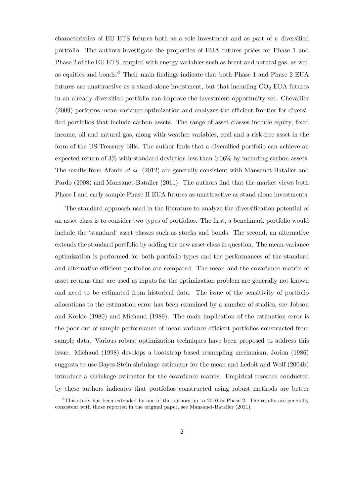characteristics of EU ETS futures both as a sole investment and as part of a diversified portfolio. The authors investigate the properties of EUA futures prices for Phase 1 and Phase 2 of the EU ETS, coupled with energy variables such as brent and natural gas, as well as equities and bonds.<sup>6</sup> Their main findings indicate that both Phase 1 and Phase 2 EUA futures are unattractive as a stand-alone investment, but that including  $CO<sub>2</sub>$  EUA futures in an already diversified portfolio can improve the investment opportunity set. Chevallier (2009) performs mean-variance optimization and analyzes the efficient frontier for diversified portfolios that include carbon assets. The range of asset classes include equity, fixed income, oil and natural gas, along with weather variables, coal and a risk-free asset in the form of the US Treasury bills. The author finds that a diversified portfolio can achieve an expected return of 3% with standard deviation less than 0.06% by including carbon assets. The results from Afonin *et al.* (2012) are generally consistent with Mansanet-Bataller and Pardo (2008) and Mansanet-Bataller (2011). The authors find that the market views both Phase I and early sample Phase II EUA futures as unattractive as stand alone investments.

The standard approach used in the literature to analyze the diversification potential of an asset class is to consider two types of portfolios. The first, a benchmark portfolio would include the 'standard' asset classes such as stocks and bonds. The second, an alternative extends the standard portfolio by adding the new asset class in question. The mean-variance optimization is performed for both portfolio types and the performances of the standard and alternative efficient portfolios are compared. The mean and the covariance matrix of asset returns that are used as inputs for the optimization problem are generally not known and need to be estimated from historical data. The issue of the sensitivity of portfolio allocations to the estimation error has been examined by a number of studies, see Jobson and Korkie (1980) and Michaud (1989). The main implication of the estimation error is the poor out-of-sample performance of mean-variance efficient portfolios constructed from sample data. Various robust optimization techniques have been proposed to address this issue. Michaud (1998) develops a bootstrap based resampling mechanism, Jorion (1986) suggests to use Bayes-Stein shrinkage estimator for the mean and Ledoit and Wolf (2004b) introduce a shrinkage estimator for the covariance matrix. Empirical research conducted by these authors indicates that portfolios constructed using robust methods are better

 $6$ This study has been extended by one of the authors up to 2010 in Phase 2. The results are generally consistent with those reported in the original paper, see Mansanet-Bataller (2011).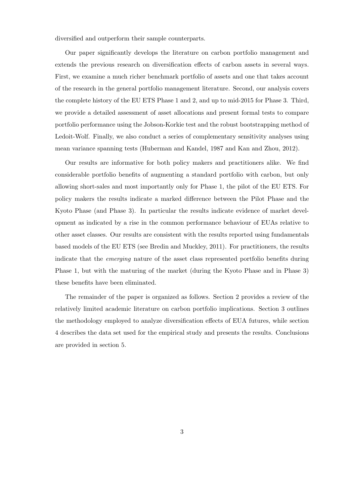diversified and outperform their sample counterparts.

Our paper significantly develops the literature on carbon portfolio management and extends the previous research on diversification effects of carbon assets in several ways. First, we examine a much richer benchmark portfolio of assets and one that takes account of the research in the general portfolio management literature. Second, our analysis covers the complete history of the EU ETS Phase 1 and 2, and up to mid-2015 for Phase 3. Third, we provide a detailed assessment of asset allocations and present formal tests to compare portfolio performance using the Jobson-Korkie test and the robust bootstrapping method of Ledoit-Wolf. Finally, we also conduct a series of complementary sensitivity analyses using mean variance spanning tests (Huberman and Kandel, 1987 and Kan and Zhou, 2012).

Our results are informative for both policy makers and practitioners alike. We find considerable portfolio benefits of augmenting a standard portfolio with carbon, but only allowing short-sales and most importantly only for Phase 1, the pilot of the EU ETS. For policy makers the results indicate a marked difference between the Pilot Phase and the Kyoto Phase (and Phase 3). In particular the results indicate evidence of market development as indicated by a rise in the common performance behaviour of EUAs relative to other asset classes. Our results are consistent with the results reported using fundamentals based models of the EU ETS (see Bredin and Muckley, 2011). For practitioners, the results indicate that the *emerging* nature of the asset class represented portfolio benefits during Phase 1, but with the maturing of the market (during the Kyoto Phase and in Phase 3) these benefits have been eliminated.

The remainder of the paper is organized as follows. Section 2 provides a review of the relatively limited academic literature on carbon portfolio implications. Section 3 outlines the methodology employed to analyze diversification effects of EUA futures, while section 4 describes the data set used for the empirical study and presents the results. Conclusions are provided in section 5.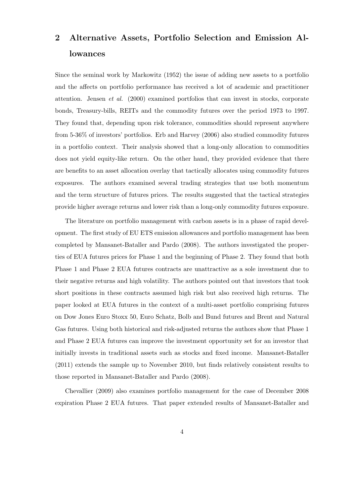# **2 Alternative Assets, Portfolio Selection and Emission Allowances**

Since the seminal work by Markowitz (1952) the issue of adding new assets to a portfolio and the affects on portfolio performance has received a lot of academic and practitioner attention. Jensen *et al.* (2000) examined portfolios that can invest in stocks, corporate bonds, Treasury-bills, REITs and the commodity futures over the period 1973 to 1997. They found that, depending upon risk tolerance, commodities should represent anywhere from 5-36% of investors' portfolios. Erb and Harvey (2006) also studied commodity futures in a portfolio context. Their analysis showed that a long-only allocation to commodities does not yield equity-like return. On the other hand, they provided evidence that there are benefits to an asset allocation overlay that tactically allocates using commodity futures exposures. The authors examined several trading strategies that use both momentum and the term structure of futures prices. The results suggested that the tactical strategies provide higher average returns and lower risk than a long-only commodity futures exposure.

The literature on portfolio management with carbon assets is in a phase of rapid development. The first study of EU ETS emission allowances and portfolio management has been completed by Mansanet-Bataller and Pardo (2008). The authors investigated the properties of EUA futures prices for Phase 1 and the beginning of Phase 2. They found that both Phase 1 and Phase 2 EUA futures contracts are unattractive as a sole investment due to their negative returns and high volatility. The authors pointed out that investors that took short positions in these contracts assumed high risk but also received high returns. The paper looked at EUA futures in the context of a multi-asset portfolio comprising futures on Dow Jones Euro Stoxx 50, Euro Schatz, Bolb and Bund futures and Brent and Natural Gas futures. Using both historical and risk-adjusted returns the authors show that Phase 1 and Phase 2 EUA futures can improve the investment opportunity set for an investor that initially invests in traditional assets such as stocks and fixed income. Mansanet-Bataller (2011) extends the sample up to November 2010, but finds relatively consistent results to those reported in Mansanet-Bataller and Pardo (2008).

Chevallier (2009) also examines portfolio management for the case of December 2008 expiration Phase 2 EUA futures. That paper extended results of Mansanet-Bataller and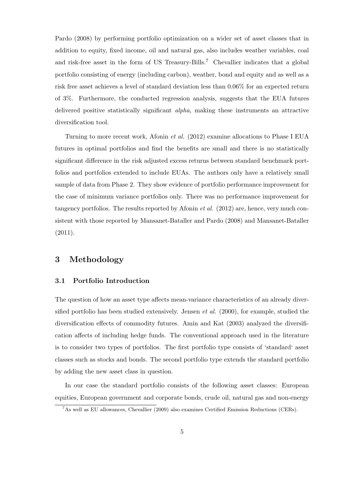Pardo (2008) by performing portfolio optimization on a wider set of asset classes that in addition to equity, fixed income, oil and natural gas, also includes weather variables, coal and risk-free asset in the form of US Treasury-Bills.<sup>7</sup> Chevallier indicates that a global portfolio consisting of energy (including carbon), weather, bond and equity and as well as a risk free asset achieves a level of standard deviation less than 0.06% for an expected return of 3%. Furthermore, the conducted regression analysis, suggests that the EUA futures delivered positive statistically significant *alpha*, making these instruments an attractive diversification tool.

Turning to more recent work, Afonin *et al.* (2012) examine allocations to Phase I EUA futures in optimal portfolios and find the benefits are small and there is no statistically significant difference in the risk adjusted excess returns between standard benchmark portfolios and portfolios extended to include EUAs. The authors only have a relatively small sample of data from Phase 2. They show evidence of portfolio performance improvement for the case of minimum variance portfolios only. There was no performance improvement for tangency portfolios. The results reported by Afonin *et al.* (2012) are, hence, very much consistent with those reported by Mansanet-Bataller and Pardo (2008) and Mansanet-Bataller (2011).

## **3 Methodology**

#### **3.1 Portfolio Introduction**

The question of how an asset type affects mean-variance characteristics of an already diversified portfolio has been studied extensively. Jensen *et al.* (2000), for example, studied the diversification effects of commodity futures. Amin and Kat (2003) analyzed the diversification affects of including hedge funds. The conventional approach used in the literature is to consider two types of portfolios. The first portfolio type consists of 'standard' asset classes such as stocks and bonds. The second portfolio type extends the standard portfolio by adding the new asset class in question.

In our case the standard portfolio consists of the following asset classes: European equities, European government and corporate bonds, crude oil, natural gas and non-energy

<sup>7</sup>As well as EU allowances, Chevallier (2009) also examines Certified Emission Reductions (CERs).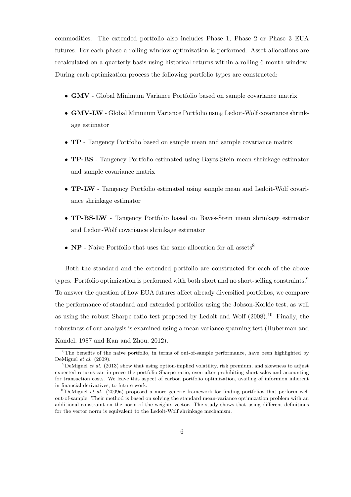commodities. The extended portfolio also includes Phase 1, Phase 2 or Phase 3 EUA futures. For each phase a rolling window optimization is performed. Asset allocations are recalculated on a quarterly basis using historical returns within a rolling 6 month window. During each optimization process the following portfolio types are constructed:

- *•* **GMV** Global Minimum Variance Portfolio based on sample covariance matrix
- *•* **GMV-LW** Global Minimum Variance Portfolio using Ledoit-Wolf covariance shrinkage estimator
- *•* **TP** Tangency Portfolio based on sample mean and sample covariance matrix
- *•* **TP-BS** Tangency Portfolio estimated using Bayes-Stein mean shrinkage estimator and sample covariance matrix
- *•* **TP-LW** Tangency Portfolio estimated using sample mean and Ledoit-Wolf covariance shrinkage estimator
- *•* **TP-BS-LW** Tangency Portfolio based on Bayes-Stein mean shrinkage estimator and Ledoit-Wolf covariance shrinkage estimator
- **NP** Naive Portfolio that uses the same allocation for all assets<sup>8</sup>

Both the standard and the extended portfolio are constructed for each of the above types. Portfolio optimization is performed with both short and no short-selling constraints.<sup>9</sup> To answer the question of how EUA futures affect already diversified portfolios, we compare the performance of standard and extended portfolios using the Jobson-Korkie test, as well as using the robust Sharpe ratio test proposed by Ledoit and Wolf  $(2008).^{10}$  Finally, the robustness of our analysis is examined using a mean variance spanning test (Huberman and Kandel, 1987 and Kan and Zhou, 2012).

<sup>&</sup>lt;sup>8</sup>The benefits of the naive portfolio, in terms of out-of-sample performance, have been highlighted by DeMiguel *et al.* (2009).

<sup>9</sup>DeMiguel *et al.* (2013) show that using option-implied volatility, risk premium, and skewness to adjust expected returns can improve the portfolio Sharpe ratio, even after prohibiting short sales and accounting for transaction costs. We leave this aspect of carbon portfolio optimization, availing of informion inherent in financial derivatives, to future work.

<sup>&</sup>lt;sup>10</sup>DeMiguel *et al.* (2009a) proposed a more generic framework for finding portfolios that perform well out-of-sample. Their method is based on solving the standard mean-variance optimization problem with an additional constraint on the norm of the weights vector. The study shows that using different definitions for the vector norm is equivalent to the Ledoit-Wolf shrinkage mechanism.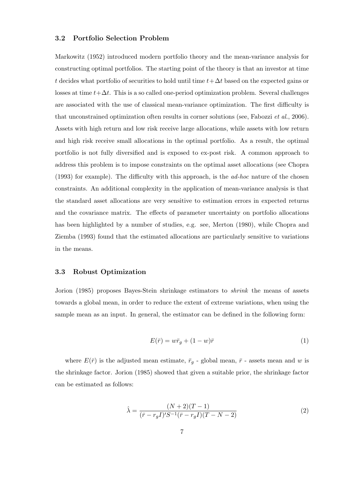#### **3.2 Portfolio Selection Problem**

Markowitz (1952) introduced modern portfolio theory and the mean-variance analysis for constructing optimal portfolios. The starting point of the theory is that an investor at time *t* decides what portfolio of securities to hold until time  $t + \Delta t$  based on the expected gains or losses at time  $t + \Delta t$ . This is a so called one-period optimization problem. Several challenges are associated with the use of classical mean-variance optimization. The first difficulty is that unconstrained optimization often results in corner solutions (see, Fabozzi *et al.*, 2006). Assets with high return and low risk receive large allocations, while assets with low return and high risk receive small allocations in the optimal portfolio. As a result, the optimal portfolio is not fully diversified and is exposed to ex-post risk. A common approach to address this problem is to impose constraints on the optimal asset allocations (see Chopra (1993) for example). The difficulty with this approach, is the *ad-hoc* nature of the chosen constraints. An additional complexity in the application of mean-variance analysis is that the standard asset allocations are very sensitive to estimation errors in expected returns and the covariance matrix. The effects of parameter uncertainty on portfolio allocations has been highlighted by a number of studies, e.g. see, Merton (1980), while Chopra and Ziemba (1993) found that the estimated allocations are particularly sensitive to variations in the means.

#### **3.3 Robust Optimization**

Jorion (1985) proposes Bayes-Stein shrinkage estimators to *shrink* the means of assets towards a global mean, in order to reduce the extent of extreme variations, when using the sample mean as an input. In general, the estimator can be defined in the following form:

$$
E(\bar{r}) = w\bar{r}_g + (1 - w)\bar{r}
$$
\n<sup>(1)</sup>

where  $E(\bar{r})$  is the adjusted mean estimate,  $\bar{r}_q$  - global mean,  $\bar{r}$  - assets mean and *w* is the shrinkage factor. Jorion (1985) showed that given a suitable prior, the shrinkage factor can be estimated as follows:

$$
\hat{\lambda} = \frac{(N+2)(T-1)}{(\bar{r} - r_g I)' S^{-1} (\bar{r} - r_g I)(T - N - 2)}
$$
\n(2)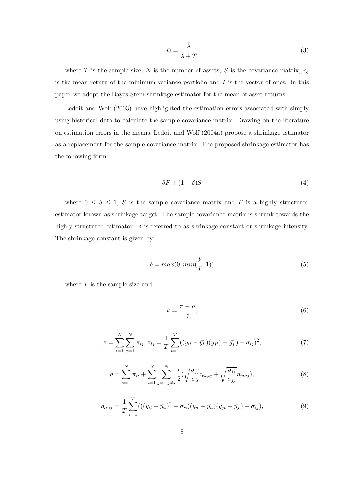$$
\hat{w} = \frac{\hat{\lambda}}{\hat{\lambda} + T} \tag{3}
$$

where  $T$  is the sample size,  $N$  is the number of assets,  $S$  is the covariance matrix,  $r_g$ is the mean return of the minimum variance portfolio and *I* is the vector of ones. In this paper we adopt the Bayes-Stein shrinkage estimator for the mean of asset returns.

Ledoit and Wolf (2003) have highlighted the estimation errors associated with simply using historical data to calculate the sample covariance matrix. Drawing on the literature on estimation errors in the means, Ledoit and Wolf (2004a) propose a shrinkage estimator as a replacement for the sample covariance matrix. The proposed shrinkage estimator has the following form:

$$
\delta F + (1 - \delta)S \tag{4}
$$

where  $0 \le \delta \le 1$ , *S* is the sample covariance matrix and *F* is a highly structured estimator known as shrinkage target. The sample covariance matrix is shrunk towards the highly structured estimator.  $\delta$  is referred to as shrinkage constant or shrinkage intensity. The shrinkage constant is given by:

$$
\delta = \max(0, \min(\frac{k}{T}, 1))
$$
\n<sup>(5)</sup>

where *T* is the sample size and

$$
k = \frac{\pi - \rho}{\gamma},\tag{6}
$$

$$
\pi = \sum_{i=1}^{N} \sum_{j=1}^{N} \pi_{ij}, \pi_{ij} = \frac{1}{T} \sum_{t=1}^{T} ((y_{it} - \bar{y}_{i.})(y_{jt}) - \bar{y}_{j.}) - \sigma_{ij})^2,
$$
\n(7)

$$
\rho = \sum_{i=1}^{N} \pi_{ii} + \sum_{i=1}^{N} \sum_{j=1, j \neq i}^{N} \frac{\bar{r}}{2} \left( \sqrt{\frac{\sigma_{jj}}{\sigma_{ii}}} \eta_{ii, ij} + \sqrt{\frac{\sigma_{ii}}{\sigma_{jj}}} \eta_{jj, ij} \right),\tag{8}
$$

$$
\eta_{ii,ij} = \frac{1}{T} \sum_{t=1}^{T} (((y_{it} - \bar{y_{i.}})^{2} - \sigma_{ii})(y_{it} - \bar{y_{i.}})(y_{jt} - \bar{y_{j.}}) - \sigma_{ij}),
$$
\n(9)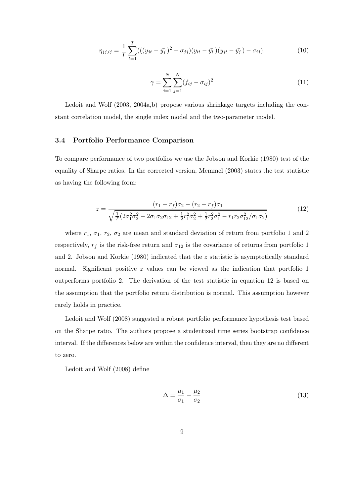$$
\eta_{jj,ij} = \frac{1}{T} \sum_{t=1}^{T} (((y_{jt} - \bar{y_j})^2 - \sigma_{jj})(y_{it} - \bar{y_i})(y_{jt} - \bar{y_j}) - \sigma_{ij}),
$$
\n(10)

$$
\gamma = \sum_{i=1}^{N} \sum_{j=1}^{N} (f_{ij} - \sigma_{ij})^2
$$
\n(11)

Ledoit and Wolf (2003, 2004a,b) propose various shrinkage targets including the constant correlation model, the single index model and the two-parameter model.

#### **3.4 Portfolio Performance Comparison**

To compare performance of two portfolios we use the Jobson and Korkie (1980) test of the equality of Sharpe ratios. In the corrected version, Memmel (2003) states the test statistic as having the following form:

$$
z = \frac{(r_1 - r_f)\sigma_2 - (r_2 - r_f)\sigma_1}{\sqrt{\frac{1}{T}(2\sigma_1^2\sigma_2^2 - 2\sigma_1\sigma_2\sigma_{12} + \frac{1}{2}r_1^2\sigma_2^2 + \frac{1}{2}r_2^2\sigma_1^2 - r_1r_2\sigma_{12}^2/\sigma_1\sigma_2)}}
$$
(12)

where  $r_1$ ,  $\sigma_1$ ,  $r_2$ ,  $\sigma_2$  are mean and standard deviation of return from portfolio 1 and 2 respectively,  $r_f$  is the risk-free return and  $\sigma_{12}$  is the covariance of returns from portfolio 1 and 2. Jobson and Korkie (1980) indicated that the *z* statistic is asymptotically standard normal. Significant positive *z* values can be viewed as the indication that portfolio 1 outperforms portfolio 2. The derivation of the test statistic in equation 12 is based on the assumption that the portfolio return distribution is normal. This assumption however rarely holds in practice.

Ledoit and Wolf (2008) suggested a robust portfolio performance hypothesis test based on the Sharpe ratio. The authors propose a studentized time series bootstrap confidence interval. If the differences below are within the confidence interval, then they are no different to zero.

Ledoit and Wolf (2008) define

$$
\Delta = \frac{\mu_1}{\sigma_1} - \frac{\mu_2}{\sigma_2} \tag{13}
$$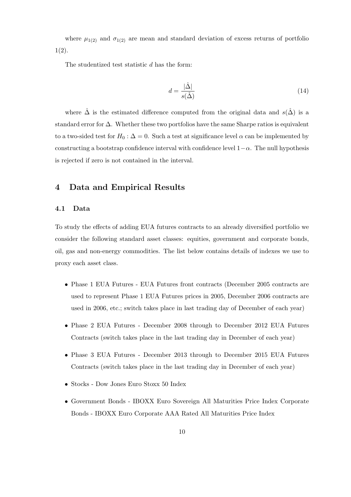where  $\mu_{1(2)}$  and  $\sigma_{1(2)}$  are mean and standard deviation of excess returns of portfolio 1(2).

The studentized test statistic *d* has the form:

$$
d = \frac{|\hat{\Delta}|}{s(\hat{\Delta})} \tag{14}
$$

where  $\hat{\Delta}$  is the estimated difference computed from the original data and  $s(\hat{\Delta})$  is a standard error for ∆. Whether these two portfolios have the same Sharpe ratios is equivalent to a two-sided test for  $H_0: \Delta = 0$ . Such a test at significance level  $\alpha$  can be implemented by constructing a bootstrap confidence interval with confidence level  $1-\alpha$ . The null hypothesis is rejected if zero is not contained in the interval.

## **4 Data and Empirical Results**

#### **4.1 Data**

To study the effects of adding EUA futures contracts to an already diversified portfolio we consider the following standard asset classes: equities, government and corporate bonds, oil, gas and non-energy commodities. The list below contains details of indexes we use to proxy each asset class.

- Phase 1 EUA Futures EUA Futures front contracts (December 2005 contracts are used to represent Phase 1 EUA Futures prices in 2005, December 2006 contracts are used in 2006, etc.; switch takes place in last trading day of December of each year)
- *•* Phase 2 EUA Futures December 2008 through to December 2012 EUA Futures Contracts (switch takes place in the last trading day in December of each year)
- *•* Phase 3 EUA Futures December 2013 through to December 2015 EUA Futures Contracts (switch takes place in the last trading day in December of each year)
- *•* Stocks Dow Jones Euro Stoxx 50 Index
- *•* Government Bonds IBOXX Euro Sovereign All Maturities Price Index Corporate Bonds - IBOXX Euro Corporate AAA Rated All Maturities Price Index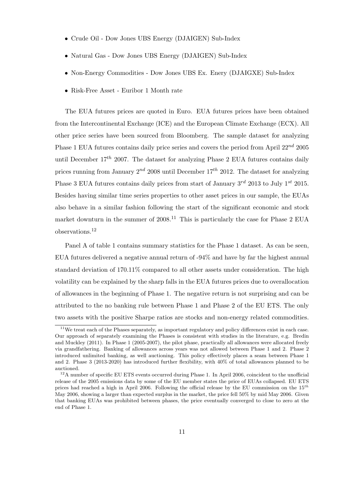- *•* Crude Oil Dow Jones UBS Energy (DJAIGEN) Sub-Index
- *•* Natural Gas Dow Jones UBS Energy (DJAIGEN) Sub-Index
- *•* Non-Energy Commodities Dow Jones UBS Ex. Enery (DJAIGXE) Sub-Index
- *•* Risk-Free Asset Euribor 1 Month rate

The EUA futures prices are quoted in Euro. EUA futures prices have been obtained from the Intercontinental Exchange (ICE) and the European Climate Exchange (ECX). All other price series have been sourced from Bloomberg. The sample dataset for analyzing Phase 1 EUA futures contains daily price series and covers the period from April 22*nd* 2005 until December 17*th* 2007. The dataset for analyzing Phase 2 EUA futures contains daily prices running from January 2*nd* 2008 until December 17*th* 2012. The dataset for analyzing Phase 3 EUA futures contains daily prices from start of January 3*rd* 2013 to July 1*st* 2015. Besides having similar time series properties to other asset prices in our sample, the EUAs also behave in a similar fashion following the start of the significant economic and stock market downturn in the summer of  $2008$ <sup>11</sup>. This is particularly the case for Phase 2 EUA observations.<sup>12</sup>

Panel A of table 1 contains summary statistics for the Phase 1 dataset. As can be seen, EUA futures delivered a negative annual return of -94% and have by far the highest annual standard deviation of 170.11% compared to all other assets under consideration. The high volatility can be explained by the sharp falls in the EUA futures prices due to overallocation of allowances in the beginning of Phase 1. The negative return is not surprising and can be attributed to the no banking rule between Phase 1 and Phase 2 of the EU ETS. The only two assets with the positive Sharpe ratios are stocks and non-energy related commodities.

<sup>&</sup>lt;sup>11</sup>We treat each of the Phases separately, as important regulatory and policy differences exist in each case. Our approach of separately examining the Phases is consistent with studies in the literature, e.g. Bredin and Muckley (2011). In Phase 1 (2005-2007), the pilot phase, practically all allowances were allocated freely via grandfathering. Banking of allowances across years was not allowed between Phase 1 and 2. Phase 2 introduced unlimited banking, as well auctioning. This policy effectively places a seam between Phase 1 and 2. Phase 3 (2013-2020) has introduced further flexibility, with 40% of total allowances planned to be auctioned.

<sup>&</sup>lt;sup>12</sup>A number of specific EU ETS events occurred during Phase 1. In April 2006, coincident to the unofficial release of the 2005 emissions data by some of the EU member states the price of EUAs collapsed. EU ETS prices had reached a high in April 2006. Following the official release by the EU commission on the 15*th* May 2006, showing a larger than expected surplus in the market, the price fell 50% by mid May 2006. Given that banking EUAs was prohibited between phases, the price eventually converged to close to zero at the end of Phase 1.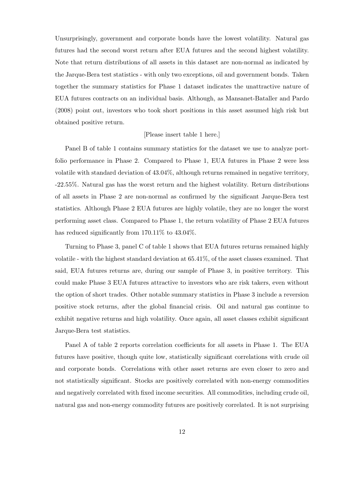Unsurprisingly, government and corporate bonds have the lowest volatility. Natural gas futures had the second worst return after EUA futures and the second highest volatility. Note that return distributions of all assets in this dataset are non-normal as indicated by the Jarque-Bera test statistics - with only two exceptions, oil and government bonds. Taken together the summary statistics for Phase 1 dataset indicates the unattractive nature of EUA futures contracts on an individual basis. Although, as Mansanet-Bataller and Pardo (2008) point out, investors who took short positions in this asset assumed high risk but obtained positive return.

#### [Please insert table 1 here.]

Panel B of table 1 contains summary statistics for the dataset we use to analyze portfolio performance in Phase 2. Compared to Phase 1, EUA futures in Phase 2 were less volatile with standard deviation of 43.04%, although returns remained in negative territory, -22.55%. Natural gas has the worst return and the highest volatility. Return distributions of all assets in Phase 2 are non-normal as confirmed by the significant Jarque-Bera test statistics. Although Phase 2 EUA futures are highly volatile, they are no longer the worst performing asset class. Compared to Phase 1, the return volatility of Phase 2 EUA futures has reduced significantly from 170.11\% to 43.04\%.

Turning to Phase 3, panel C of table 1 shows that EUA futures returns remained highly volatile - with the highest standard deviation at 65.41%, of the asset classes examined. That said, EUA futures returns are, during our sample of Phase 3, in positive territory. This could make Phase 3 EUA futures attractive to investors who are risk takers, even without the option of short trades. Other notable summary statistics in Phase 3 include a reversion positive stock returns, after the global financial crisis. Oil and natural gas continue to exhibit negative returns and high volatility. Once again, all asset classes exhibit significant Jarque-Bera test statistics.

Panel A of table 2 reports correlation coefficients for all assets in Phase 1. The EUA futures have positive, though quite low, statistically significant correlations with crude oil and corporate bonds. Correlations with other asset returns are even closer to zero and not statistically significant. Stocks are positively correlated with non-energy commodities and negatively correlated with fixed income securities. All commodities, including crude oil, natural gas and non-energy commodity futures are positively correlated. It is not surprising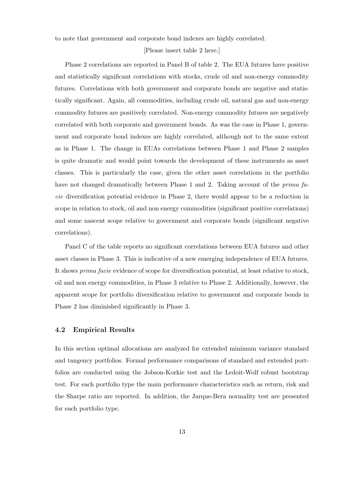to note that government and corporate bond indexes are highly correlated.

#### [Please insert table 2 here.]

Phase 2 correlations are reported in Panel B of table 2. The EUA futures have positive and statistically significant correlations with stocks, crude oil and non-energy commodity futures. Correlations with both government and corporate bonds are negative and statistically significant. Again, all commodities, including crude oil, natural gas and non-energy commodity futures are positively correlated. Non-energy commodity futures are negatively correlated with both corporate and government bonds. As was the case in Phase 1, government and corporate bond indexes are highly correlated, although not to the same extent as in Phase 1. The change in EUAs correlations between Phase 1 and Phase 2 samples is quite dramatic and would point towards the development of these instruments as asset classes. This is particularly the case, given the other asset correlations in the portfolio have not changed dramatically between Phase 1 and 2. Taking account of the *prima facie* diversification potential evidence in Phase 2, there would appear to be a reduction in scope in relation to stock, oil and non energy commodities (significant positive correlations) and some nascent scope relative to government and corporate bonds (significant negative correlations).

Panel C of the table reports no significant correlations between EUA futures and other asset classes in Phase 3. This is indicative of a new emerging independence of EUA futures. It shows *prima facie* evidence of scope for diversification potential, at least relative to stock, oil and non energy commodities, in Phase 3 relative to Phase 2. Additionally, however, the apparent scope for portfolio diversification relative to government and corporate bonds in Phase 2 has diminished significantly in Phase 3.

#### **4.2 Empirical Results**

In this section optimal allocations are analyzed for extended minimum variance standard and tangency portfolios. Formal performance comparisons of standard and extended portfolios are conducted using the Jobson-Korkie test and the Ledoit-Wolf robust bootstrap test. For each portfolio type the main performance characteristics such as return, risk and the Sharpe ratio are reported. In addition, the Jarque-Bera normality test are presented for each portfolio type.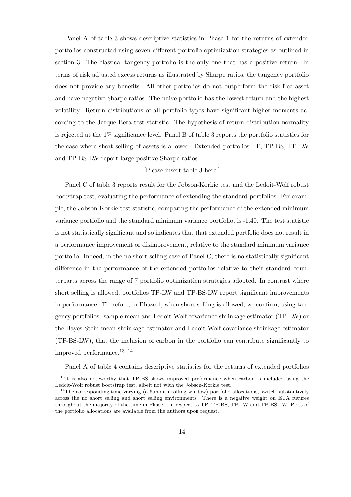Panel A of table 3 shows descriptive statistics in Phase 1 for the returns of extended portfolios constructed using seven different portfolio optimization strategies as outlined in section 3. The classical tangency portfolio is the only one that has a positive return. In terms of risk adjusted excess returns as illustrated by Sharpe ratios, the tangency portfolio does not provide any benefits. All other portfolios do not outperform the risk-free asset and have negative Sharpe ratios. The naive portfolio has the lowest return and the highest volatility. Return distributions of all portfolio types have significant higher moments according to the Jarque Bera test statistic. The hypothesis of return distribution normality is rejected at the 1% significance level. Panel B of table 3 reports the portfolio statistics for the case where short selling of assets is allowed. Extended portfolios TP, TP-BS, TP-LW and TP-BS-LW report large positive Sharpe ratios.

#### [Please insert table 3 here.]

Panel C of table 3 reports result for the Jobson-Korkie test and the Ledoit-Wolf robust bootstrap test, evaluating the performance of extending the standard portfolios. For example, the Jobson-Korkie test statistic, comparing the performance of the extended minimum variance portfolio and the standard minimum variance portfolio, is -1.40. The test statistic is not statistically significant and so indicates that that extended portfolio does not result in a performance improvement or disimprovement, relative to the standard minimum variance portfolio. Indeed, in the no short-selling case of Panel C, there is no statistically significant difference in the performance of the extended portfolios relative to their standard counterparts across the range of 7 portfolio optimization strategies adopted. In contrast where short selling is allowed, portfolios TP-LW and TP-BS-LW report significant improvements in performance. Therefore, in Phase 1, when short selling is allowed, we confirm, using tangency portfolios: sample mean and Ledoit-Wolf covariance shrinkage estimator (TP-LW) or the Bayes-Stein mean shrinkage estimator and Ledoit-Wolf covariance shrinkage estimator (TP-BS-LW), that the inclusion of carbon in the portfolio can contribute significantly to improved performance.  $^{13}$   $^{\,14}$ 

Panel A of table 4 contains descriptive statistics for the returns of extended portfolios

<sup>&</sup>lt;sup>13</sup>It is also noteworthy that TP-BS shows improved performance when carbon is included using the Ledoit-Wolf robust bootstrap test, albeit not with the Jobson-Korkie test.

 $14$ The corresponding time-varying (a 6-month rolling window) portfolio allocations, switch substantively across the no short selling and short selling environments. There is a negative weight on EUA futures throughout the majority of the time in Phase 1 in respect to TP, TP-BS, TP-LW and TP-BS-LW. Plots of the portfolio allocations are available from the authors upon request.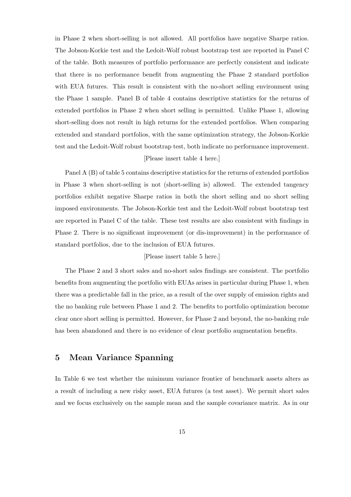in Phase 2 when short-selling is not allowed. All portfolios have negative Sharpe ratios. The Jobson-Korkie test and the Ledoit-Wolf robust bootstrap test are reported in Panel C of the table. Both measures of portfolio performance are perfectly consistent and indicate that there is no performance benefit from augmenting the Phase 2 standard portfolios with EUA futures. This result is consistent with the no-short selling environment using the Phase 1 sample. Panel B of table 4 contains descriptive statistics for the returns of extended portfolios in Phase 2 when short selling is permitted. Unlike Phase 1, allowing short-selling does not result in high returns for the extended portfolios. When comparing extended and standard portfolios, with the same optimization strategy, the Jobson-Korkie test and the Ledoit-Wolf robust bootstrap test, both indicate no performance improvement.

#### [Please insert table 4 here.]

Panel A (B) of table 5 contains descriptive statistics for the returns of extended portfolios in Phase 3 when short-selling is not (short-selling is) allowed. The extended tangency portfolios exhibit negative Sharpe ratios in both the short selling and no short selling imposed environments. The Jobson-Korkie test and the Ledoit-Wolf robust bootstrap test are reported in Panel C of the table. These test results are also consistent with findings in Phase 2. There is no significant improvement (or dis-improvement) in the performance of standard portfolios, due to the inclusion of EUA futures.

#### [Please insert table 5 here.]

The Phase 2 and 3 short sales and no-short sales findings are consistent. The portfolio benefits from augmenting the portfolio with EUAs arises in particular during Phase 1, when there was a predictable fall in the price, as a result of the over supply of emission rights and the no banking rule between Phase 1 and 2. The benefits to portfolio optimization become clear once short selling is permitted. However, for Phase 2 and beyond, the no-banking rule has been abandoned and there is no evidence of clear portfolio augmentation benefits.

## **5 Mean Variance Spanning**

In Table 6 we test whether the minimum variance frontier of benchmark assets alters as a result of including a new risky asset, EUA futures (a test asset). We permit short sales and we focus exclusively on the sample mean and the sample covariance matrix. As in our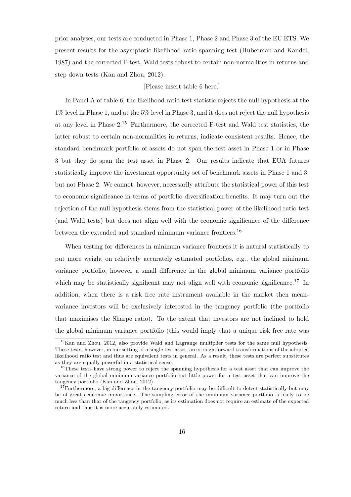prior analyses, our tests are conducted in Phase 1, Phase 2 and Phase 3 of the EU ETS. We present results for the asymptotic likelihood ratio spanning test (Huberman and Kandel, 1987) and the corrected F-test, Wald tests robust to certain non-normalities in returns and step down tests (Kan and Zhou, 2012).

#### [Please insert table 6 here.]

In Panel A of table 6, the likelihood ratio test statistic rejects the null hypothesis at the 1% level in Phase 1, and at the 5% level in Phase 3, and it does not reject the null hypothesis at any level in Phase 2.<sup>15</sup> Furthermore, the corrected F-test and Wald test statistics, the latter robust to certain non-normalities in returns, indicate consistent results. Hence, the standard benchmark portfolio of assets do not span the test asset in Phase 1 or in Phase 3 but they do span the test asset in Phase 2. Our results indicate that EUA futures statistically improve the investment opportunity set of benchmark assets in Phase 1 and 3, but not Phase 2. We cannot, however, necessarily attribute the statistical power of this test to economic significance in terms of portfolio diversification benefits. It may turn out the rejection of the null hypothesis stems from the statistical power of the likelihood ratio test (and Wald tests) but does not align well with the economic significance of the difference between the extended and standard minimum variance frontiers.<sup>16</sup>

When testing for differences in minimum variance frontiers it is natural statistically to put more weight on relatively accurately estimated portfolios, e.g., the global minimum variance portfolio, however a small difference in the global minimum variance portfolio which may be statistically significant may not align well with economic significance.<sup>17</sup> In addition, when there is a risk free rate instrument available in the market then meanvariance investors will be exclusively interested in the tangency portfolio (the portfolio that maximises the Sharpe ratio). To the extent that investors are not inclined to hold the global minimum variance portfolio (this would imply that a unique risk free rate was

<sup>15</sup>Kan and Zhou, 2012, also provide Wald and Lagrange multiplier tests for the same null hypothesis. These tests, however, in our setting of a single test asset, are straightforward transformations of the adopted likelihood ratio test and thus are equivalent tests in general. As a result, these tests are perfect substitutes as they are equally powerful in a statistical sense.

<sup>&</sup>lt;sup>16</sup>These tests have strong power to reject the spanning hypothesis for a test asset that can improve the variance of the global minimum-variance portfolio but little power for a test asset that can improve the tangency portfolio (Kan and Zhou, 2012).

 $17$ Furthermore, a big difference in the tangency portfolio may be difficult to detect statistically but may be of great economic importance. The sampling error of the minimum variance portfolio is likely to be much less than that of the tangency portfolio, as its estimation does not require an estimate of the expected return and thus it is more accurately estimated.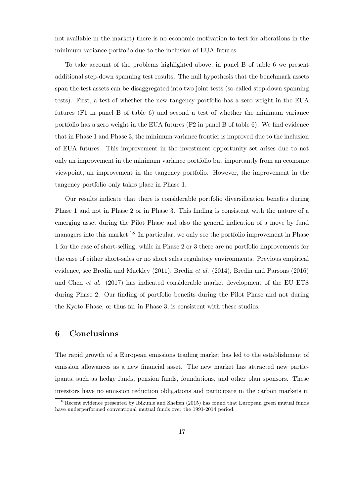not available in the market) there is no economic motivation to test for alterations in the minimum variance portfolio due to the inclusion of EUA futures.

To take account of the problems highlighted above, in panel B of table 6 we present additional step-down spanning test results. The null hypothesis that the benchmark assets span the test assets can be disaggregated into two joint tests (so-called step-down spanning tests). First, a test of whether the new tangency portfolio has a zero weight in the EUA futures (F1 in panel B of table 6) and second a test of whether the minimum variance portfolio has a zero weight in the EUA futures (F2 in panel B of table 6). We find evidence that in Phase 1 and Phase 3, the minimum variance frontier is improved due to the inclusion of EUA futures. This improvement in the investment opportunity set arises due to not only an improvement in the minimum variance portfolio but importantly from an economic viewpoint, an improvement in the tangency portfolio. However, the improvement in the tangency portfolio only takes place in Phase 1.

Our results indicate that there is considerable portfolio diversification benefits during Phase 1 and not in Phase 2 or in Phase 3. This finding is consistent with the nature of a emerging asset during the Pilot Phase and also the general indication of a move by fund managers into this market.<sup>18</sup> In particular, we only see the portfolio improvement in Phase 1 for the case of short-selling, while in Phase 2 or 3 there are no portfolio improvements for the case of either short-sales or no short sales regulatory environments. Previous empirical evidence, see Bredin and Muckley (2011), Bredin *et al.* (2014), Bredin and Parsons (2016) and Chen *et al.* (2017) has indicated considerable market development of the EU ETS during Phase 2. Our finding of portfolio benefits during the Pilot Phase and not during the Kyoto Phase, or thus far in Phase 3, is consistent with these studies.

## **6 Conclusions**

The rapid growth of a European emissions trading market has led to the establishment of emission allowances as a new financial asset. The new market has attracted new participants, such as hedge funds, pension funds, foundations, and other plan sponsors. These investors have no emission reduction obligations and participate in the carbon markets in

<sup>&</sup>lt;sup>18</sup>Recent evidence presented by Ibikunle and Sheffen (2015) has found that European green mutual funds have underperformed conventional mutual funds over the 1991-2014 period.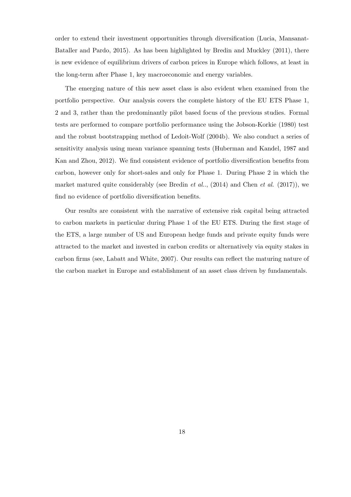order to extend their investment opportunities through diversification (Lucia, Mansanat-Bataller and Pardo, 2015). As has been highlighted by Bredin and Muckley (2011), there is new evidence of equilibrium drivers of carbon prices in Europe which follows, at least in the long-term after Phase 1, key macroeconomic and energy variables.

The emerging nature of this new asset class is also evident when examined from the portfolio perspective. Our analysis covers the complete history of the EU ETS Phase 1, 2 and 3, rather than the predominantly pilot based focus of the previous studies. Formal tests are performed to compare portfolio performance using the Jobson-Korkie (1980) test and the robust bootstrapping method of Ledoit-Wolf (2004b). We also conduct a series of sensitivity analysis using mean variance spanning tests (Huberman and Kandel, 1987 and Kan and Zhou, 2012). We find consistent evidence of portfolio diversification benefits from carbon, however only for short-sales and only for Phase 1. During Phase 2 in which the market matured quite considerably (see Bredin *et al.*., (2014) and Chen *et al.* (2017)), we find no evidence of portfolio diversification benefits.

Our results are consistent with the narrative of extensive risk capital being attracted to carbon markets in particular during Phase 1 of the EU ETS. During the first stage of the ETS, a large number of US and European hedge funds and private equity funds were attracted to the market and invested in carbon credits or alternatively via equity stakes in carbon firms (see, Labatt and White, 2007). Our results can reflect the maturing nature of the carbon market in Europe and establishment of an asset class driven by fundamentals.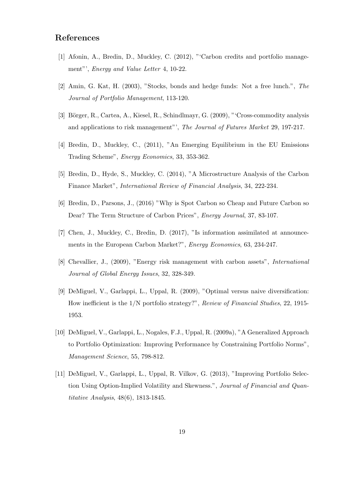# **References**

- [1] Afonin, A., Bredin, D., Muckley, C. (2012), "'Carbon credits and portfolio management"', *Energy and Value Letter* 4, 10-22.
- [2] Amin, G. Kat, H. (2003), "Stocks, bonds and hedge funds: Not a free lunch.", *The Journal of Portfolio Management*, 113-120.
- [3] Börger, R., Cartea, A., Kiesel, R., Schindlmayr, G. (2009), "Cross-commodity analysis and applications to risk management"', *The Journal of Futures Market* 29, 197-217.
- [4] Bredin, D., Muckley, C., (2011), "An Emerging Equilibrium in the EU Emissions Trading Scheme", *Energy Economics*, 33, 353-362.
- [5] Bredin, D., Hyde, S., Muckley, C. (2014), "A Microstructure Analysis of the Carbon Finance Market", *International Review of Financial Analysis*, 34, 222-234.
- [6] Bredin, D., Parsons, J., (2016) "Why is Spot Carbon so Cheap and Future Carbon so Dear? The Term Structure of Carbon Prices", *Energy Journal*, 37, 83-107.
- [7] Chen, J., Muckley, C., Bredin, D. (2017), "Is information assimilated at announcements in the European Carbon Market?", *Energy Economics*, 63, 234-247.
- [8] Chevallier, J., (2009), "Energy risk management with carbon assets", *International Journal of Global Energy Issues*, 32, 328-349.
- [9] DeMiguel, V., Garlappi, L., Uppal, R. (2009), "Optimal versus naive diversification: How inefficient is the 1/N portfolio strategy?", *Review of Financial Studies*, 22, 1915- 1953.
- [10] DeMiguel, V., Garlappi, L., Nogales, F.J., Uppal, R. (2009a), "A Generalized Approach to Portfolio Optimization: Improving Performance by Constraining Portfolio Norms", *Management Science*, 55, 798-812.
- [11] DeMiguel, V., Garlappi, L., Uppal, R. Vilkov, G. (2013), "Improving Portfolio Selection Using Option-Implied Volatility and Skewness.", *Journal of Financial and Quantitative Analysis*, 48(6), 1813-1845.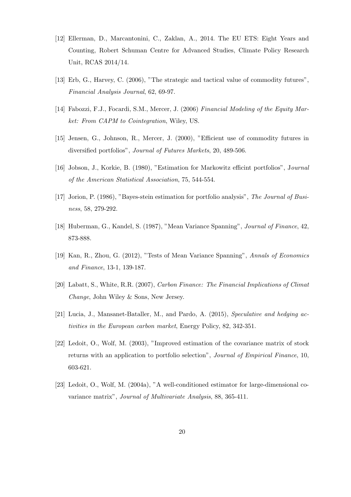- [12] Ellerman, D., Marcantonini, C., Zaklan, A., 2014. The EU ETS: Eight Years and Counting, Robert Schuman Centre for Advanced Studies, Climate Policy Research Unit, RCAS 2014/14.
- [13] Erb, G., Harvey, C. (2006), "The strategic and tactical value of commodity futures", *Financial Analysis Journal*, 62, 69-97.
- [14] Fabozzi, F.J., Focardi, S.M., Mercer, J. (2006) *Financial Modeling of the Equity Market: From CAPM to Cointegration*, Wiley, US.
- [15] Jensen, G., Johnson, R., Mercer, J. (2000), "Efficient use of commodity futures in diversified portfolios", *Journal of Futures Markets*, 20, 489-506.
- [16] Jobson, J., Korkie, B. (1980), "Estimation for Markowitz efficint portfolios", J*ournal of the American Statistical Association*, 75, 544-554.
- [17] Jorion, P. (1986), "Bayes-stein estimation for portfolio analysis", *The Journal of Business*, 58, 279-292.
- [18] Huberman, G., Kandel, S. (1987), "Mean Variance Spanning", *Journal of Finance*, 42, 873-888.
- [19] Kan, R., Zhou, G. (2012), "Tests of Mean Variance Spanning", *Annals of Economics and Finance*, 13-1, 139-187.
- [20] Labatt, S., White, R.R. (2007), *Carbon Finance: The Financial Implications of Climat Change*, John Wiley & Sons, New Jersey.
- [21] Lucia, J., Mansanet-Bataller, M., and Pardo, A. (2015), *Speculative and hedging activities in the European carbon market*, Energy Policy, 82, 342-351.
- [22] Ledoit, O., Wolf, M. (2003), "Improved estimation of the covariance matrix of stock returns with an application to portfolio selection", *Journal of Empirical Finance*, 10, 603-621.
- [23] Ledoit, O., Wolf, M. (2004a), "A well-conditioned estimator for large-dimensional covariance matrix", *Journal of Multivariate Analysis*, 88, 365-411.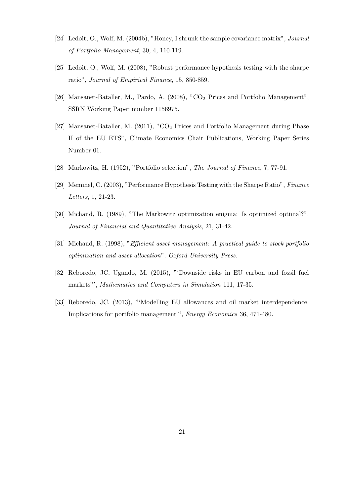- [24] Ledoit, O., Wolf, M. (2004b), "Honey, I shrunk the sample covariance matrix", *Journal of Portfolio Management*, 30, 4, 110-119.
- [25] Ledoit, O., Wolf, M. (2008), "Robust performance hypothesis testing with the sharpe ratio", *Journal of Empirical Finance*, 15, 850-859.
- [26] Mansanet-Bataller, M., Pardo, A. (2008), "CO<sup>2</sup> Prices and Portfolio Management", SSRN Working Paper number 1156975.
- [27] Mansanet-Bataller, M. (2011), " $CO<sub>2</sub>$  Prices and Portfolio Management during Phase II of the EU ETS", Climate Economics Chair Publications, Working Paper Series Number 01.
- [28] Markowitz, H. (1952), "Portfolio selection", *The Journal of Finance*, 7, 77-91.
- [29] Memmel, C. (2003), "Performance Hypothesis Testing with the Sharpe Ratio", *Finance Letters*, 1, 21-23.
- [30] Michaud, R. (1989), "The Markowitz optimization enigma: Is optimized optimal?", *Journal of Financial and Quantitative Analysis*, 21, 31-42.
- [31] Michaud, R. (1998), "*Efficient asset management: A practical guide to stock portfolio optimization and asset allocation*". *Oxford University Press*.
- [32] Reboredo, JC, Ugando, M. (2015), "'Downside risks in EU carbon and fossil fuel markets"', *Mathematics and Computers in Simulation* 111, 17-35.
- [33] Reboredo, JC. (2013), "'Modelling EU allowances and oil market interdependence. Implications for portfolio management"', *Energy Economics* 36, 471-480.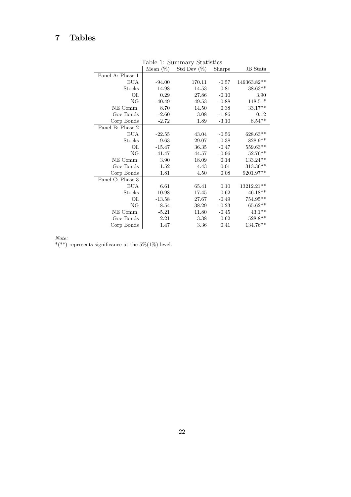# **7 Tables**

|                  |             | rable reportmentally provided |         |                 |
|------------------|-------------|-------------------------------|---------|-----------------|
|                  | Mean $(\%)$ | Std Dev $(\%)$                | Sharpe  | <b>JB</b> Stats |
| Panel A: Phase 1 |             |                               |         |                 |
| <b>EUA</b>       | $-94.00$    | 170.11                        | $-0.57$ | 149363.82**     |
| Stocks           | 14.98       | 14.53                         | 0.81    | $38.63**$       |
| Oil              | 0.29        | 27.86                         | $-0.10$ | 3.90            |
| NG               | $-40.49$    | 49.53                         | $-0.88$ | $118.51*$       |
| NE Comm.         | 8.70        | 14.50                         | 0.38    | $33.17**$       |
| Gov Bonds        | $-2.60$     | 3.08                          | $-1.86$ | 0.12            |
| Corp Bonds       | $-2.72$     | 1.89                          | $-3.10$ | $8.54**$        |
| Panel B: Phase 2 |             |                               |         |                 |
| <b>EUA</b>       | $-22.55$    | 43.04                         | $-0.56$ | 628.63**        |
| Stocks           | $-9.63$     | 29.07                         | $-0.38$ | $828.9**$       |
| Oil              | $-15.47$    | 36.35                         | $-0.47$ | $559.63***$     |
| NG               | $-41.47$    | 44.57                         | $-0.96$ | $52.76**$       |
| NE Comm.         | 3.90        | 18.09                         | 0.14    | $133.24***$     |
| Gov Bonds        | 1.52        | 4.43                          | 0.01    | 313.36**        |
| Corp Bonds       | 1.81        | 4.50                          | 0.08    | 9201.97**       |
| Panel C: Phase 3 |             |                               |         |                 |
| <b>EUA</b>       | 6.61        | 65.41                         | 0.10    | 13212.21**      |
| Stocks           | 10.98       | 17.45                         | 0.62    | $46.18**$       |
| Oil              | $-13.58$    | 27.67                         | $-0.49$ | $754.95***$     |
| NG               | $-8.54$     | 38.29                         | $-0.23$ | $65.62**$       |
| NE Comm.         | $-5.21$     | 11.80                         | $-0.45$ | $43.1**$        |
| Gov Bonds        | 2.21        | 3.38                          | 0.62    | $528.8**$       |
| Corp Bonds       | 1.47        | 3.36                          | 0.41    | 134.76**        |
|                  |             |                               |         |                 |

Table 1: Summary Statistics

*Note:*

\*(\*\*) represents significance at the  $5\%(1\%)$  level.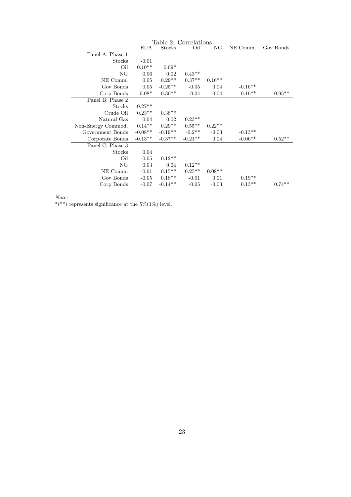| Table 2: Correlations |            |           |           |          |           |                   |  |
|-----------------------|------------|-----------|-----------|----------|-----------|-------------------|--|
|                       | <b>EUA</b> | Stocks    | Oil       | NG       | NE Comm.  | Gov Bonds         |  |
| Panel A: Phase 1      |            |           |           |          |           |                   |  |
| Stocks                | $-0.01$    |           |           |          |           |                   |  |
| Oil                   | $0.10**$   | $0.09*$   |           |          |           |                   |  |
| NG                    | 0.06       | 0.02      | $0.43**$  |          |           |                   |  |
| NE Comm.              | 0.05       | $0.29**$  | $0.37**$  | $0.16**$ |           |                   |  |
| Gov Bonds             | 0.05       | $-0.25**$ | $-0.05$   | 0.04     | $-0.16**$ |                   |  |
| Corp Bonds            | $0.08*$    | $-0.30**$ | $-0.04$   | 0.04     | $-0.16**$ | $0.95^{\ast\ast}$ |  |
| Panel B: Phase 2      |            |           |           |          |           |                   |  |
| Stocks                | $0.27**$   |           |           |          |           |                   |  |
| Crude Oil             | $0.23**$   | $0.38**$  |           |          |           |                   |  |
| Natural Gas           | 0.04       | 0.02      | $0.23**$  |          |           |                   |  |
| Non-Energy Commod.    | $0.14**$   | $0.29**$  | $0.55**$  | $0.22**$ |           |                   |  |
| Government Bonds      | $-0.08**$  | $-0.19**$ | $-0.2**$  | $-0.03$  | $-0.13**$ |                   |  |
| Corporate Bonds       | $-0.13**$  | $-0.37**$ | $-0.21**$ | 0.04     | $-0.06**$ | $0.52**$          |  |
| Panel C: Phase 3      |            |           |           |          |           |                   |  |
| Stocks                | 0.04       |           |           |          |           |                   |  |
| Oil                   | 0.05       | $0.12**$  |           |          |           |                   |  |
| NG                    | 0.03       | 0.04      | $0.12**$  |          |           |                   |  |
| NE Comm.              | $-0.01$    | $0.15***$ | $0.25**$  | $0.08**$ |           |                   |  |
| Gov Bonds             | $-0.05$    | $0.18**$  | $-0.01$   | 0.01     | $0.19**$  |                   |  |
| Corp Bonds            | $-0.07$    | $-0.14**$ | $-0.05$   | $-0.03$  | $0.13**$  | $0.74**$          |  |
|                       |            |           |           |          |           |                   |  |

.

 $^{*(**)}$  represents significance at the 5%(1%) level.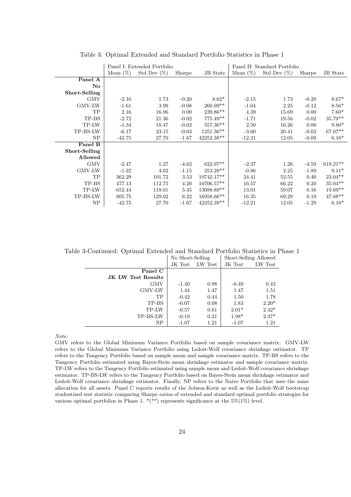|                         | Panel I: Extended Portfolio |                |         | Panel II: Standard Portfolio |             |                |         |            |
|-------------------------|-----------------------------|----------------|---------|------------------------------|-------------|----------------|---------|------------|
|                         | Mean $(\%)$                 | Std Dev $(\%)$ | Sharpe  | <b>JB</b> Stats              | Mean $(\%)$ | Std Dev $(\%)$ | Sharpe  | JB Stats   |
| Panel A                 |                             |                |         |                              |             |                |         |            |
| $\mathbf{N}\mathbf{o}$  |                             |                |         |                              |             |                |         |            |
| Short-Selling           |                             |                |         |                              |             |                |         |            |
| <b>GMV</b>              | $-2.16$                     | 1.73           | $-0.20$ | $8.62*$                      | $-2.15$     | 1.73           | $-0.20$ | $8.67*$    |
| $\operatorname{GMV-LW}$ | $-1.61$                     | 3.99           | $-0.08$ | $260.99**$                   | $-1.04$     | 2.25           | $-0.12$ | $8.56*$    |
| TP                      | 2.16                        | 16.96          | 0.00    | $239.86**$                   | 4.39        | 15.69          | 0.00    | $7.60*$    |
| TP-BS                   | $-2.72$                     | 21.36          | $-0.02$ | 775.49**                     | $-1.71$     | 19.56          | $-0.02$ | 35.79**    |
| TP-LW                   | $-1.34$                     | 18.47          | $-0.02$ | 557.30**                     | 2.50        | 16.26          | 0.00    | $9.80*$    |
| TP-BS-LW                | $-6.17$                     | 23.15          | $-0.03$ | $1251.36**$                  | $-3.60$     | 20.41          | $-0.02$ | $67.07**$  |
| NP                      | $-42.75$                    | 27.70          | $-1.67$ | 42252.38**                   | $-12.21$    | 12.05          | $-0.09$ | $6.16*$    |
| Panel B                 |                             |                |         |                              |             |                |         |            |
| Short-Selling           |                             |                |         |                              |             |                |         |            |
| Allowed                 |                             |                |         |                              |             |                |         |            |
| <b>GMV</b>              | $-2.47$                     | 1.27           | $-4.62$ | 622.97**                     | $-2.37$     | 1.26           | $-4.59$ | $619.21**$ |
| <b>GMV-LW</b>           | $-1.22$                     | 4.02           | $-1.15$ | $253.28**$                   | $-0.86$     | 2.25           | $-1.89$ | $9.11*$    |
| TP                      | 362.29                      | 101.72         | 3.53    | $10742.17**$                 | 24.41       | 52.55          | 0.40    | $23.04**$  |
| TP-BS                   | 477.13                      | 112.75         | 4.20    | 10706.57**                   | 16.57       | 66.22          | 0.20    | $35.04**$  |
| TP-LW                   | 652.44                      | 119.01         | 5.45    | 13088.89**                   | 13.01       | 59.07          | 0.16    | $19.69**$  |
| TP-BS-LW                | 805.75                      | 129.02         | 6.22    | 16958.66**                   | 16.35       | 69.29          | 0.19    | $47.88**$  |
| NP                      | $-42.75$                    | 27.70          | $-1.67$ | 42252.39**                   | $-12.21$    | 12.05          | $-1.29$ | $6.16*$    |

Table 3: Optimal Extended and Standard Portfolio Statistics in Phase 1

Table 3-Continued: Optimal Extended and Standard Portfolio Statistics in Phase 1

|                           | No Short-Selling |         | Short-Selling Allowed |         |
|---------------------------|------------------|---------|-----------------------|---------|
|                           | JK Test          | LW Test | JK Test               | LW Test |
| Panel C                   |                  |         |                       |         |
| <b>JK LW Test Results</b> |                  |         |                       |         |
| GMV                       | $-1.40$          | 0.98    | $-0.49$               | 0.43    |
| GMV-LW                    | 1.44             | 1.47    | 1.47                  | 1.51    |
| TP                        | $-0.42$          | 0.44    | 1.50                  | 1.78    |
| TP-BS                     | $-0.07$          | 0.08    | 1.83                  | $2.20*$ |
| TP-LW                     | $-0.57$          | 0.61    | $2.01*$               | $2.42*$ |
| TP-BS-LW                  | $-0.19$          | 0.21    | $1.98*$               | $2.37*$ |
| NP                        | $-1.07$          | 1.21    | $-1.07$               | 1.21    |

GMV refers to the Global Minimum Variance Portfolio based on sample covariance matrix. GMV-LW refers to the Global Minimum Variance Portfolio using Ledoit-Wolf covariance shrinkage estimator. TP refers to the Tangency Portfolio based on sample mean and sample covariance matrix. TP-BS refers to the Tangency Portfolio estimated using Bayes-Stein mean shrinkage estimator and sample covariance matrix. TP-LW refers to the Tangency Portfolio estimated using sample mean and Ledoit-Wolf covariance shrinkage estimator. TP-BS-LW refers to the Tangency Portfolio based on Bayes-Stein mean shrinkage estimator and Ledoit-Wolf covariance shrinkage estimator. Finally, NP refers to the Naive Portfolio that uses the same allocation for all assets. Panel C reports results of the Jobson-Korie as well as the Ledoit-Wolf bootstrap studentized test statistic comparing Sharpe ratios of extended and standard optimal portfolio strategies for various optimal portfolios in Phase 1.  $*(**)$  represents significance at the 5%(1%) level.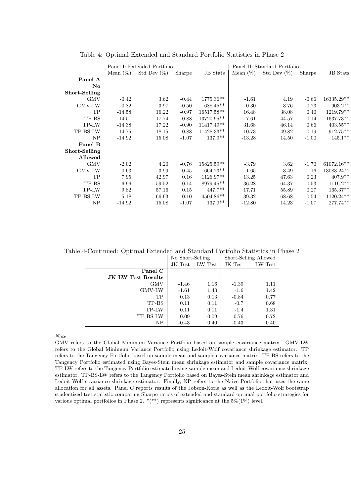|                        |             | Panel I: Extended Portfolio |         |                 |             | Panel II: Standard Portfolio |         |                 |
|------------------------|-------------|-----------------------------|---------|-----------------|-------------|------------------------------|---------|-----------------|
|                        | Mean $(\%)$ | Std Dev $(\%)$              | Sharpe  | <b>JB</b> Stats | Mean $(\%)$ | Std Dev $(\%)$               | Sharpe  | <b>JB</b> Stats |
| Panel A                |             |                             |         |                 |             |                              |         |                 |
| $\mathbf{N}\mathbf{o}$ |             |                             |         |                 |             |                              |         |                 |
| Short-Selling          |             |                             |         |                 |             |                              |         |                 |
| GMV                    | $-0.42$     | 3.62                        | $-0.44$ | 1775.36**       | $-1.61$     | 4.19                         | $-0.66$ | $16335.29**$    |
| GMV-LW                 | $-0.82$     | 3.97                        | $-0.50$ | $688.45**$      | 0.30        | 3.76                         | $-0.23$ | $903.2**$       |
| TP                     | $-14.58$    | 16.22                       | $-0.97$ | 16517.58**      | 16.48       | 38.08                        | 0.40    | 1219.79**       |
| TP-BS                  | $-14.51$    | 17.74                       | $-0.88$ | 13720.95**      | 7.61        | 44.57                        | 0.14    | 1637.73**       |
| TP-LW                  | $-14.38$    | 17.22                       | $-0.90$ | 11417.49**      | 31.68       | 46.14                        | 0.66    | $403.55**$      |
| TP-BS-LW               | $-14.75$    | 18.15                       | $-0.88$ | $11428.33**$    | 10.73       | 49.82                        | 0.19    | 912.75**        |
| NP                     | $-14.92$    | 15.08                       | $-1.07$ | $137.9**$       | $-13.28$    | 14.50                        | $-1.00$ | $145.1**$       |
| Panel B                |             |                             |         |                 |             |                              |         |                 |
| Short-Selling          |             |                             |         |                 |             |                              |         |                 |
| Allowed                |             |                             |         |                 |             |                              |         |                 |
| <b>GMV</b>             | $-2.02$     | 4.20                        | $-0.76$ | $15825.59**$    | $-3.79$     | 3.62                         | $-1.70$ | 61072.16**      |
| <b>GMV-LW</b>          | $-0.63$     | 3.99                        | $-0.45$ | $664.23**$      | $-1.65$     | 3.49                         | $-1.16$ | 13083.24**      |
| TP                     | 7.95        | 42.97                       | 0.16    | $1126.97**$     | 13.25       | 47.63                        | 0.23    | $407.9**$       |
| TP-BS                  | $-6.96$     | 59.52                       | $-0.14$ | 8979.45**       | 36.28       | 64.37                        | 0.53    | $1116.2**$      |
| TP-LW                  | 9.82        | 57.16                       | 0.15    | $447.7**$       | 17.71       | 55.89                        | 0.27    | $165.37**$      |
| TP-BS-LW               | $-5.18$     | 66.63                       | $-0.10$ | $4504.86**$     | 39.32       | 68.68                        | 0.54    | 1120.24**       |
| NP                     | $-14.92$    | 15.08                       | $-1.07$ | $137.9**$       | $-12.80$    | 14.23                        | $-1.07$ | 277.74**        |

Table 4: Optimal Extended and Standard Portfolio Statistics in Phase 2

Table 4-Continued: Optimal Extended and Standard Portfolio Statistics in Phase 2

|                    | No Short-Selling |         | Short-Selling Allowed |         |
|--------------------|------------------|---------|-----------------------|---------|
|                    | JK Test          | LW Test | JK Test               | LW Test |
| Panel C            |                  |         |                       |         |
| JK LW Test Results |                  |         |                       |         |
| GMV                | $-1.46$          | 1.16    | $-1.39$               | 1.11    |
| GMV-LW             | $-1.61$          | 1.43    | $-1.6$                | 1.42    |
| TP                 | 0.13             | 0.13    | $-0.84$               | 0.77    |
| TP-BS              | 0.11             | 0.11    | $-0.7$                | 0.68    |
| TP-LW              | 0.11             | 0.11    | $-1.4$                | 1.31    |
| TP-BS-LW           | 0.09             | 0.09    | $-0.76$               | 0.72    |
| NP                 | $-0.43$          | 0.40    | $-0.43$               | 0.40    |

GMV refers to the Global Minimum Variance Portfolio based on sample covariance matrix. GMV-LW refers to the Global Minimum Variance Portfolio using Ledoit-Wolf covariance shrinkage estimator. TP refers to the Tangency Portfolio based on sample mean and sample covariance matrix. TP-BS refers to the Tangency Portfolio estimated using Bayes-Stein mean shrinkage estimator and sample covariance matrix. TP-LW refers to the Tangency Portfolio estimated using sample mean and Ledoit-Wolf covariance shrinkage estimator. TP-BS-LW refers to the Tangency Portfolio based on Bayes-Stein mean shrinkage estimator and Ledoit-Wolf covariance shrinkage estimator. Finally, NP refers to the Naive Portfolio that uses the same allocation for all assets. Panel C reports results of the Jobson-Korie as well as the Ledoit-Wolf bootstrap studentized test statistic comparing Sharpe ratios of extended and standard optimal portfolio strategies for various optimal portfolios in Phase 2.  $*(**)$  represents significance at the 5%(1%) level.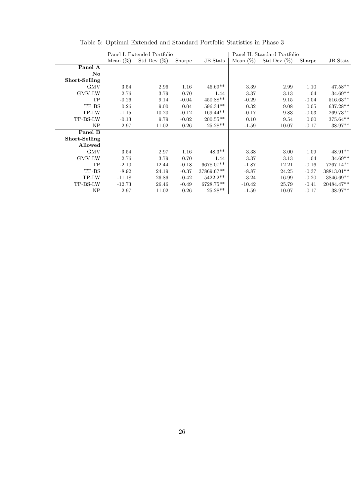|                        | Panel I: Extended Portfolio |                |         | Panel II: Standard Portfolio |             |                |         |                 |
|------------------------|-----------------------------|----------------|---------|------------------------------|-------------|----------------|---------|-----------------|
|                        | Mean $(\%)$                 | Std Dev $(\%)$ | Sharpe  | <b>JB</b> Stats              | Mean $(\%)$ | Std Dev $(\%)$ | Sharpe  | <b>JB</b> Stats |
| Panel A                |                             |                |         |                              |             |                |         |                 |
| $\mathbf{N}\mathbf{o}$ |                             |                |         |                              |             |                |         |                 |
| Short-Selling          |                             |                |         |                              |             |                |         |                 |
| <b>GMV</b>             | 3.54                        | 2.96           | 1.16    | $46.69**$                    | 3.39        | 2.99           | 1.10    | 47.58**         |
| GMV-LW                 | 2.76                        | 3.79           | 0.70    | 1.44                         | 3.37        | 3.13           | 1.04    | $34.69**$       |
| TP                     | $-0.26$                     | 9.14           | $-0.04$ | $450.88**$                   | $-0.29$     | 9.15           | $-0.04$ | $516.63**$      |
| TP-BS                  | $-0.26$                     | 9.00           | $-0.04$ | $596.34**$                   | $-0.32$     | 9.08           | $-0.05$ | $637.28**$      |
| TP-LW                  | $-1.15$                     | 10.20          | $-0.12$ | $169.44**$                   | $-0.17$     | 9.83           | $-0.03$ | 269.73**        |
| TP-BS-LW               | $-0.13$                     | 9.79           | $-0.02$ | $200.55**$                   | 0.10        | 9.54           | 0.00    | $375.64**$      |
| NP                     | 2.97                        | 11.02          | 0.26    | $25.28**$                    | $-1.59$     | 10.07          | $-0.17$ | 38.97**         |
| Panel B                |                             |                |         |                              |             |                |         |                 |
| Short-Selling          |                             |                |         |                              |             |                |         |                 |
| Allowed                |                             |                |         |                              |             |                |         |                 |
| <b>GMV</b>             | 3.54                        | 2.97           | 1.16    | $48.3**$                     | 3.38        | 3.00           | 1.09    | 48.91**         |
| GMV-LW                 | 2.76                        | 3.79           | 0.70    | 1.44                         | 3.37        | 3.13           | 1.04    | 34.69**         |
| TP                     | $-2.10$                     | 12.44          | $-0.18$ | 6678.07**                    | $-1.87$     | 12.21          | $-0.16$ | 7267.14**       |
| TP-BS                  | $-8.92$                     | 24.19          | $-0.37$ | 37869.67**                   | $-8.87$     | 24.25          | $-0.37$ | 38813.01**      |
| TP-LW                  | $-11.18$                    | 26.86          | $-0.42$ | $5422.2**$                   | $-3.24$     | 16.99          | $-0.20$ | 3846.69**       |
| TP-BS-LW               | $-12.73$                    | 26.46          | $-0.49$ | 6728.75**                    | $-10.42$    | 25.79          | $-0.41$ | 20484.47**      |
| NP                     | 2.97                        | 11.02          | 0.26    | $25.28**$                    | $-1.59$     | 10.07          | $-0.17$ | 38.97**         |

# Table 5: Optimal Extended and Standard Portfolio Statistics in Phase 3